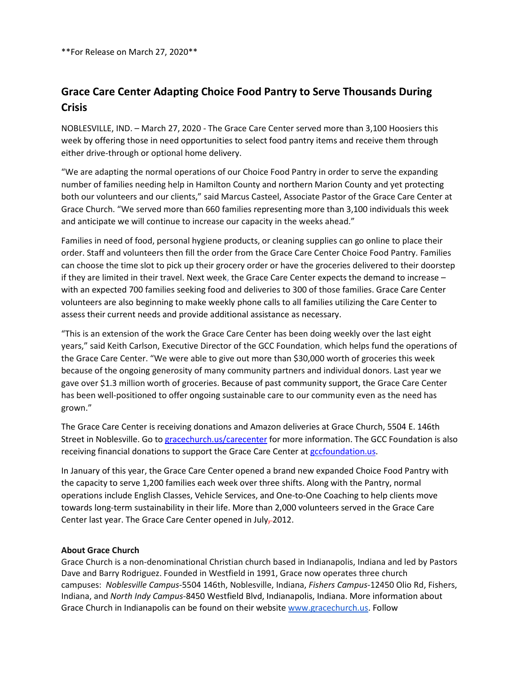\*\*For Release on March 27, 2020\*\*

## Grace Care Center Adapting Choice Food Pantry to Serve Thousands During **Crisis**

NOBLESVILLE, IND. – March 27, 2020 - The Grace Care Center served more than 3,100 Hoosiers this week by offering those in need opportunities to select food pantry items and receive them through

either drive-through or optional home delivery.<br>"We are adapting the normal operations of our Choice Food Pantry in order to serve the expanding number of families needing help in Hamilton County and northern Marion County and yet protecting both our volunteers and our clients," said Marcus Casteel, Associate Pastor of the Grace Care Center at Grace Church. "We served more than 660 families representing more than 3,100 individuals this week and anticipate we will continue to increase our capacity in the weeks ahead."

Families in need of food, personal hygiene products, or cleaning supplies can go online to place their order. Staff and volunteers then fill the order from the Grace Care Center Choice Food Pantry. Families can choose the time slot to pick up their grocery order or have the groceries delivered to their doorstep if they are limited in their travel. Next week, the Grace Care Center expects the demand to increase – with an expected 700 families seeking food and deliveries to 300 of those families. Grace Care Center volunteers are also beginning to make weekly phone calls to all families utilizing the Care Center to assess their current needs and provide additional assistance as necessary.

"This is an extension of the work the Grace Care Center has been doing weekly over the last eight years," said Keith Carlson, Executive Director of the GCC Foundation, which helps fund the operations of the Grace Care Center. "We were able to give out more than \$30,000 worth of groceries this week because of the ongoing generosity of many community partners and individual donors. Last year we gave over \$1.3 million worth of groceries. Because of past community support, the Grace Care Center has been well-positioned to offer ongoing sustainable care to our community even as the need has grown."

The Grace Care Center is receiving donations and Amazon deliveries at Grace Church, 5504 E. 146th Street in Noblesville. Go to gracechurch.us/carecenter for more information. The GCC Foundation is also

receiving financial donations to support the Grace Care Center at **gccfoundation.us.**<br>In January of this year, the Grace Care Center opened a brand new expanded Choice Food Pantry with the capacity to serve 1,200 families each week over three shifts. Along with the Pantry, normal operations include English Classes, Vehicle Services, and One-to-One Coaching to help clients move towards long-term sustainability in their life. More than 2,000 volunteers served in the Grace Care Center last year. The Grace Care Center opened in July-2012.

## About Grace Church

Grace Church is a non-denominational Christian church based in Indianapolis, Indiana and led by Pastors Dave and Barry Rodriguez. Founded in Westfield in 1991, Grace now operates three church campuses: Noblesville Campus-5504 146th, Noblesville, Indiana, Fishers Campus-12450 Olio Rd, Fishers, Indiana, and North Indy Campus-8450 Westfield Blvd, Indianapolis, Indiana. More information about Grace Church in Indianapolis can be found on their website www.gracechurch.us. Follow